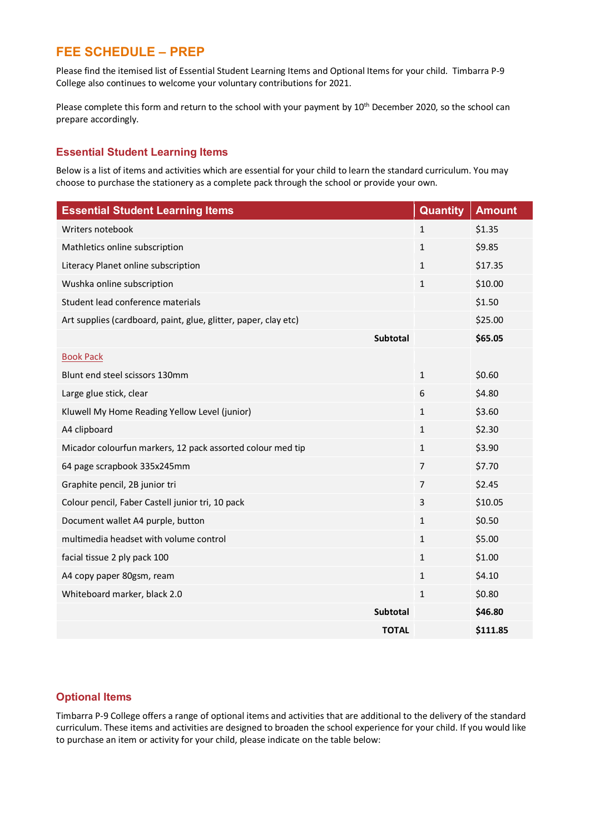# **FEE SCHEDULE – PREP**

Please find the itemised list of Essential Student Learning Items and Optional Items for your child. Timbarra P-9 College also continues to welcome your voluntary contributions for 2021.

Please complete this form and return to the school with your payment by 10<sup>th</sup> December 2020, so the school can prepare accordingly.

## **Essential Student Learning Items**

Below is a list of items and activities which are essential for your child to learn the standard curriculum. You may choose to purchase the stationery as a complete pack through the school or provide your own.

| <b>Essential Student Learning Items</b>                         | <b>Quantity</b> | <b>Amount</b> |
|-----------------------------------------------------------------|-----------------|---------------|
| Writers notebook                                                | $\mathbf{1}$    | \$1.35        |
| Mathletics online subscription                                  | $\mathbf{1}$    | \$9.85        |
| Literacy Planet online subscription                             | $\mathbf{1}$    | \$17.35       |
| Wushka online subscription                                      | $\mathbf{1}$    | \$10.00       |
| Student lead conference materials                               |                 | \$1.50        |
| Art supplies (cardboard, paint, glue, glitter, paper, clay etc) |                 | \$25.00       |
| <b>Subtotal</b>                                                 |                 | \$65.05       |
| <b>Book Pack</b>                                                |                 |               |
| Blunt end steel scissors 130mm                                  | $\mathbf 1$     | \$0.60        |
| Large glue stick, clear                                         | 6               | \$4.80        |
| Kluwell My Home Reading Yellow Level (junior)                   | $\mathbf{1}$    | \$3.60        |
| A4 clipboard                                                    | $\mathbf{1}$    | \$2.30        |
| Micador colourfun markers, 12 pack assorted colour med tip      | $\mathbf{1}$    | \$3.90        |
| 64 page scrapbook 335x245mm                                     | $\overline{7}$  | \$7.70        |
| Graphite pencil, 2B junior tri                                  | $\overline{7}$  | \$2.45        |
| Colour pencil, Faber Castell junior tri, 10 pack                | 3               | \$10.05       |
| Document wallet A4 purple, button                               | $\mathbf{1}$    | \$0.50        |
| multimedia headset with volume control                          | $\mathbf{1}$    | \$5.00        |
| facial tissue 2 ply pack 100                                    | $\mathbf{1}$    | \$1.00        |
| A4 copy paper 80gsm, ream                                       | $\mathbf{1}$    | \$4.10        |
| Whiteboard marker, black 2.0                                    | $\mathbf{1}$    | \$0.80        |
| Subtotal                                                        |                 | \$46.80       |
| <b>TOTAL</b>                                                    |                 | \$111.85      |

## **Optional Items**

Timbarra P-9 College offers a range of optional items and activities that are additional to the delivery of the standard curriculum. These items and activities are designed to broaden the school experience for your child. If you would like to purchase an item or activity for your child, please indicate on the table below: